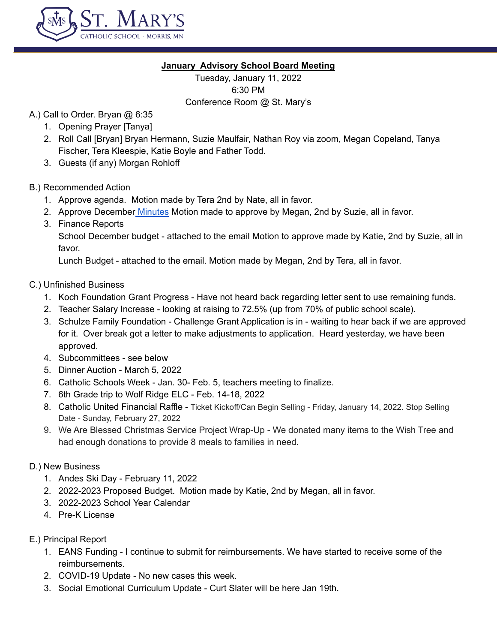

## **January Advisory School Board Meeting**

Tuesday, January 11, 2022 6:30 PM Conference Room @ St. Mary's

- A.) Call to Order. Bryan @ 6:35
	- 1. Opening Prayer [Tanya]
	- 2. Roll Call [Bryan] Bryan Hermann, Suzie Maulfair, Nathan Roy via zoom, Megan Copeland, Tanya Fischer, Tera Kleespie, Katie Boyle and Father Todd.
	- 3. Guests (if any) Morgan Rohloff
- B.) Recommended Action
	- 1. Approve agenda. Motion made by Tera 2nd by Nate, all in favor.
	- 2. Approve December [Minutes](https://docs.google.com/document/d/1LJOAsT31Rte3r3CFoQNVDWoVwhES5ETnD0UGCE0oZUE/edit) Motion made to approve by Megan, 2nd by Suzie, all in favor.
	- 3. Finance Reports

School December budget - attached to the email Motion to approve made by Katie, 2nd by Suzie, all in favor.

Lunch Budget - attached to the email. Motion made by Megan, 2nd by Tera, all in favor.

- C.) Unfinished Business
	- 1. Koch Foundation Grant Progress Have not heard back regarding letter sent to use remaining funds.
	- 2. Teacher Salary Increase looking at raising to 72.5% (up from 70% of public school scale).
	- 3. Schulze Family Foundation Challenge Grant Application is in waiting to hear back if we are approved for it. Over break got a letter to make adjustments to application. Heard yesterday, we have been approved.
	- 4. Subcommittees see below
	- 5. Dinner Auction March 5, 2022
	- 6. Catholic Schools Week Jan. 30- Feb. 5, teachers meeting to finalize.
	- 7. 6th Grade trip to Wolf Ridge ELC Feb. 14-18, 2022
	- 8. Catholic United Financial Raffle Ticket Kickoff/Can Begin Selling Friday, January 14, 2022. Stop Selling Date - Sunday, February 27, 2022
	- 9. We Are Blessed Christmas Service Project Wrap-Up We donated many items to the Wish Tree and had enough donations to provide 8 meals to families in need.

## D.) New Business

- 1. Andes Ski Day February 11, 2022
- 2. 2022-2023 Proposed Budget. Motion made by Katie, 2nd by Megan, all in favor.
- 3. 2022-2023 School Year Calendar
- 4. Pre-K License
- E.) Principal Report
	- 1. EANS Funding I continue to submit for reimbursements. We have started to receive some of the reimbursements.
	- 2. COVID-19 Update No new cases this week.
	- 3. Social Emotional Curriculum Update Curt Slater will be here Jan 19th.